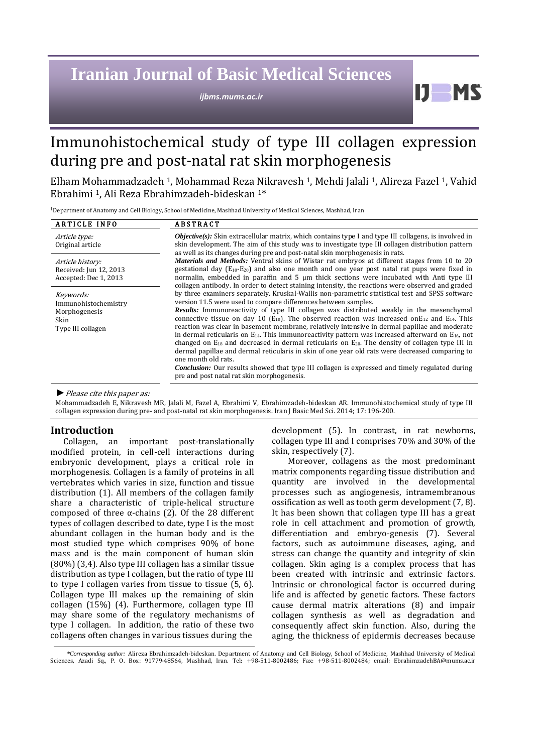# **Iranian Journal of Basic Medical Sciences**

*ijbms.mums.ac.ir*

Immunohistochemical study of type III collagen expression during pre and post-natal rat skin morphogenesis

Elham Mohammadzadeh 1, Mohammad Reza Nikravesh 1, Mehdi Jalali 1, Alireza Fazel 1, Vahid Ebrahimi 1, Ali Reza Ebrahimzadeh-bideskan 1\*

<sup>1</sup>Department of Anatomy and Cell Biology, School of Medicine, Mashhad University of Medical Sciences, Mashhad, Iran

| <b>ARTICLE INFO</b>                                                             | <b>ABSTRACT</b>                                                                                                                                                                                                                                                                                                                                                                                                                                                                                                                                                                                                                                                                                                                                                                                                                                                                                                                                                                                                                                                                                                                                                                                                                                                                                                                                                                                                                                                                                                                                                                                                                                                                                                                                         |
|---------------------------------------------------------------------------------|---------------------------------------------------------------------------------------------------------------------------------------------------------------------------------------------------------------------------------------------------------------------------------------------------------------------------------------------------------------------------------------------------------------------------------------------------------------------------------------------------------------------------------------------------------------------------------------------------------------------------------------------------------------------------------------------------------------------------------------------------------------------------------------------------------------------------------------------------------------------------------------------------------------------------------------------------------------------------------------------------------------------------------------------------------------------------------------------------------------------------------------------------------------------------------------------------------------------------------------------------------------------------------------------------------------------------------------------------------------------------------------------------------------------------------------------------------------------------------------------------------------------------------------------------------------------------------------------------------------------------------------------------------------------------------------------------------------------------------------------------------|
| Article type:<br>Original article                                               | <b><i>Objective(s)</i></b> : Skin extracellular matrix, which contains type I and type III collagens, is involved in<br>skin development. The aim of this study was to investigate type III collagen distribution pattern<br>as well as its changes during pre and post-natal skin morphogenesis in rats.<br><i>Materials and Methods:</i> Ventral skins of Wistar rat embryos at different stages from 10 to 20<br>gestational day $(E_{10}-E_{20})$ and also one month and one year post natal rat pups were fixed in<br>normalin, embedded in paraffin and $5 \mu m$ thick sections were incubated with Anti type III<br>collagen antibody. In order to detect staining intensity, the reactions were observed and graded<br>by three examiners separately. Kruskal-Wallis non-parametric statistical test and SPSS software<br>version 11.5 were used to compare differences between samples.<br><b>Results:</b> Immunoreactivity of type III collagen was distributed weakly in the mesenchymal<br>connective tissue on day 10 (E <sub>10</sub> ). The observed reaction was increased on E <sub>12</sub> and E <sub>14</sub> . This<br>reaction was clear in basement membrane, relatively intensive in dermal papillae and moderate<br>in dermal reticularis on $E_{14}$ . This immunoreactivity pattern was increased afterward on $E_{16}$ , not<br>changed on $E_{18}$ and decreased in dermal reticularis on $E_{20}$ . The density of collagen type III in<br>dermal papillae and dermal reticularis in skin of one year old rats were decreased comparing to<br>one month old rats.<br><b>Conclusion:</b> Our results showed that type III collagen is expressed and timely regulated during<br>pre and post natal rat skin morphogenesis. |
| Article history:<br>Received: Jun 12, 2013<br>Accepted: Dec 1, 2013             |                                                                                                                                                                                                                                                                                                                                                                                                                                                                                                                                                                                                                                                                                                                                                                                                                                                                                                                                                                                                                                                                                                                                                                                                                                                                                                                                                                                                                                                                                                                                                                                                                                                                                                                                                         |
| Keywords:<br>Immunohistochemistry<br>Morphogenesis<br>Skin<br>Type III collagen |                                                                                                                                                                                                                                                                                                                                                                                                                                                                                                                                                                                                                                                                                                                                                                                                                                                                                                                                                                                                                                                                                                                                                                                                                                                                                                                                                                                                                                                                                                                                                                                                                                                                                                                                                         |

#### *►*Please cite this paper as:

Mohammadzadeh E, Nikravesh MR, Jalali M, Fazel A, Ebrahimi V, Ebrahimzadeh-bideskan AR. Immunohistochemical study of type III collagen expression during pre- and post-natal rat skin morphogenesis. Iran J Basic Med Sci. 2014; 17: 196-200.

## **Introduction**

Collagen, an important post-translationally modified protein, in cell-cell interactions during embryonic development, plays a critical role in morphogenesis. Collagen is a family of proteins in all vertebrates which varies in size, function and tissue distribution (1). All members of the collagen family share a characteristic of triple-helical structure composed of three α-chains (2). Of the 28 different types of collagen described to date, type I is the most abundant collagen in the human body and is the most studied type which comprises 90% of bone mass and is the main component of human skin (80%) (3,4). Also type III collagen has a similar tissue distribution as type I collagen, but the ratio of type III to type I collagen varies from tissue to tissue (5, 6). Collagen type III makes up the remaining of skin collagen (15%) (4). Furthermore, collagen type III may share some of the regulatory mechanisms of type I collagen. In addition, the ratio of these two collagens often changes in various tissues during the

development (5). In contrast, in rat newborns, collagen type III and I comprises 70% and 30% of the skin, respectively (7).

H

Moreover, collagens as the most predominant matrix components regarding tissue distribution and quantity are involved in the developmental processes such as angiogenesis, intramembranous ossification as well as tooth germ development (7, 8). It has been shown that collagen type III has a great role in cell attachment and promotion of growth, differentiation and embryo-genesis (7). Several factors, such as autoimmune diseases, aging, and stress can change the quantity and integrity of skin collagen. Skin aging is a complex process that has been created with intrinsic and extrinsic factors. Intrinsic or chronological factor is occurred during life and is affected by genetic factors. These factors cause dermal matrix alterations (8) and impair collagen synthesis as well as degradation and consequently affect skin function. Also, during the aging, the thickness of epidermis decreases because

*\*Corresponding author:* Alireza Ebrahimzadeh-bideskan. Department of Anatomy and Cell Biology, School of Medicine, Mashhad University of Medical Sciences, Azadi Sq., P. O. Box: 91779-48564, Mashhad, Iran. Tel: +98-511-8002486; Fax: +98-511-8002484; email: [EbrahimzadehBA@mums.ac.ir](mailto:EbrahimzadehBA@mums.ac.ir)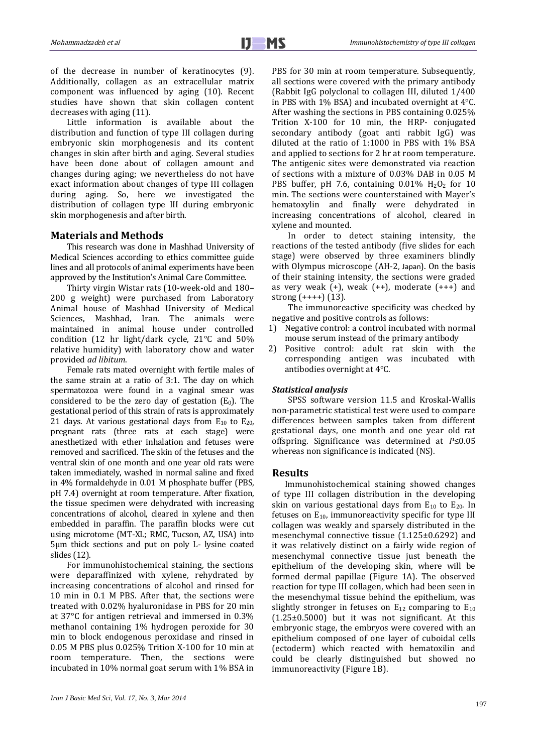of the decrease in number of keratinocytes (9). Additionally, collagen as an extracellular matrix component was influenced by aging (10). Recent studies have shown that skin collagen content decreases with aging (11).

Little information is available about the distribution and function of type III collagen during embryonic skin morphogenesis and its content changes in skin after birth and aging. Several studies have been done about of collagen amount and changes during aging; we nevertheless do not have exact information about changes of type III collagen during aging. So, here we investigated the distribution of collagen type III during embryonic skin morphogenesis and after birth.

### **Materials and Methods**

This research was done in Mashhad University of Medical Sciences according to ethics committee guide lines and all protocols of animal experiments have been approved by the Institution's Animal Care Committee.

Thirty virgin Wistar rats (10-week-old and 180– 200 g weight) were purchased from Laboratory Animal house of Mashhad University of Medical Sciences, Mashhad, Iran. The animals were maintained in animal house under controlled condition (12 hr light/dark cycle, 21°C and 50% relative humidity) with laboratory chow and water provided *ad libitum*.

Female rats mated overnight with fertile males of the same strain at a ratio of 3:1. The day on which spermatozoa were found in a vaginal smear was considered to be the zero day of gestation  $(E_0)$ . The gestational period of this strain of rats is approximately 21 days. At various gestational days from  $E_{10}$  to  $E_{20}$ , pregnant rats (three rats at each stage) were anesthetized with ether inhalation and fetuses were removed and sacrificed. The skin of the fetuses and the ventral skin of one month and one year old rats were taken immediately, washed in normal saline and fixed in 4% formaldehyde in 0.01 M phosphate buffer (PBS, pH 7.4) overnight at room temperature. After fixation, the tissue specimen were dehydrated with increasing concentrations of alcohol, cleared in xylene and then embedded in paraffin. The paraffin blocks were cut using microtome (MT-XL; RMC, Tucson, AZ, USA) into 5µm thick sections and put on poly L- lysine coated slides (12).

For immunohistochemical staining, the sections were deparaffinized with xylene, rehydrated by increasing concentrations of alcohol and rinsed for 10 min in 0.1 M PBS. After that, the sections were treated with 0.02% hyaluronidase in PBS for 20 min at 37°C for antigen retrieval and immersed in 0.3% methanol containing 1% hydrogen peroxide for 30 min to block endogenous peroxidase and rinsed in 0.05 M PBS plus 0.025% Trition X-100 for 10 min at room temperature. Then, the sections were incubated in 10% normal goat serum with 1% BSA in PBS for 30 min at room temperature. Subsequently, all sections were covered with the primary antibody (Rabbit IgG polyclonal to collagen III, diluted 1/400 in PBS with 1% BSA) and incubated overnight at 4°C. After washing the sections in PBS containing 0.025% Trition X-100 for 10 min, the HRP- conjugated secondary antibody (goat anti rabbit IgG) was diluted at the ratio of 1:1000 in PBS with 1% BSA and applied to sections for 2 hr at room temperature. The antigenic sites were demonstrated via reaction of sections with a mixture of 0.03% DAB in 0.05 M PBS buffer, pH 7.6, containing  $0.01\%$  H<sub>2</sub>O<sub>2</sub> for 10 min. The sections were counterstained with Mayer's hematoxylin and finally were dehydrated in increasing concentrations of alcohol, cleared in xylene and mounted.

In order to detect staining intensity, the reactions of the tested antibody (five slides for each stage) were observed by three examiners blindly with Olympus microscope (AH-2, Japan). On the basis of their staining intensity, the sections were graded as very weak  $(+)$ , weak  $(+)$ , moderate  $(+++)$  and strong (++++) (13).

The immunoreactive specificity was checked by negative and positive controls as follows:

- 1) Negative control: a control incubated with normal mouse serum instead of the primary antibody
- 2) Positive control: adult rat skin with the corresponding antigen was incubated with antibodies overnight at 4°C.

### *Statistical analysis*

SPSS software version 11.5 and Kroskal-Wallis non-parametric statistical test were used to compare differences between samples taken from different gestational days, one month and one year old rat offspring. Significance was determined at *P*≤0.05 whereas non significance is indicated (NS).

#### **Results**

Immunohistochemical staining showed changes of type III collagen distribution in the developing skin on various gestational days from  $E_{10}$  to  $E_{20}$ . In fetuses on  $E_{10}$ , immunoreactivity specific for type III collagen was weakly and sparsely distributed in the mesenchymal connective tissue (1.125±0.6292) and it was relatively distinct on a fairly wide region of mesenchymal connective tissue just beneath the epithelium of the developing skin, where will be formed dermal papillae (Figure 1A). The observed reaction for type III collagen, which had been seen in the mesenchymal tissue behind the epithelium, was slightly stronger in fetuses on  $E_{12}$  comparing to  $E_{10}$ (1.25±0.5000) but it was not significant. At this embryonic stage, the embryos were covered with an epithelium composed of one layer of cuboidal cells (ectoderm) which reacted with hematoxilin and could be clearly distinguished but showed no immunoreactivity (Figure 1B).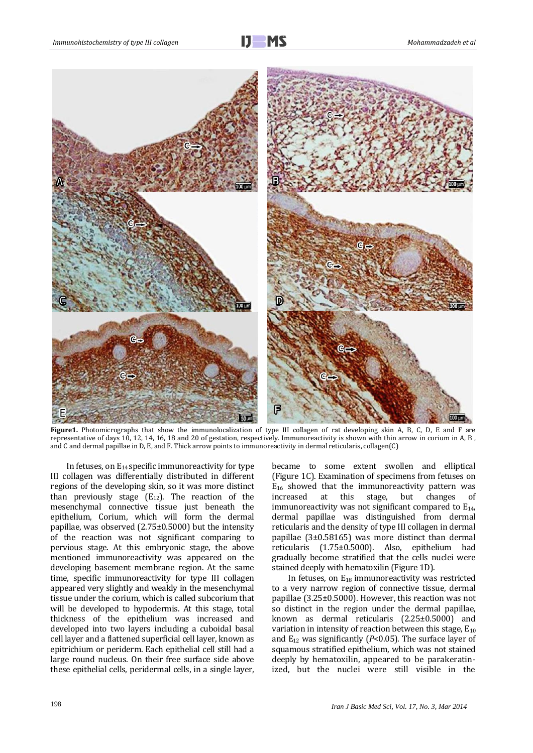

**Figure1.** Photomicrographs that show the immunolocalization of type III collagen of rat developing skin A, B, C, D, E and F are representative of days 10, 12, 14, 16, 18 and 20 of gestation, respectively. Immunoreactivity is shown with thin arrow in corium in A, B , and C and dermal papillae in D, E, and F. Thick arrow points to immunoreactivity in dermal reticularis, collagen(C)

In fetuses, on  $E_{14}$  specific immunoreactivity for type III collagen was differentially distributed in different regions of the developing skin, so it was more distinct than previously stage  $(E_{12})$ . The reaction of the mesenchymal connective tissue just beneath the epithelium, Corium, which will form the dermal papillae, was observed (2.75±0.5000) but the intensity of the reaction was not significant comparing to pervious stage. At this embryonic stage, the above mentioned immunoreactivity was appeared on the developing basement membrane region. At the same time, specific immunoreactivity for type III collagen appeared very slightly and weakly in the mesenchymal tissue under the corium, which is called subcorium that will be developed to hypodermis. At this stage, total thickness of the epithelium was increased and developed into two layers including a cuboidal basal cell layer and a flattened superficial cell layer, known as epitrichium or periderm. Each epithelial cell still had a large round nucleus. On their free surface side above these epithelial cells, peridermal cells, in a single layer,

became to some extent swollen and elliptical (Figure 1C). Examination of specimens from fetuses on  $E_{16}$  showed that the immunoreactivity pattern was increased at this stage, but changes of immunoreactivity was not significant compared to  $E_{14}$ , dermal papillae was distinguished from dermal reticularis and the density of type III collagen in dermal papillae (3±0.58165) was more distinct than dermal reticularis (1.75±0.5000). Also, epithelium had gradually become stratified that the cells nuclei were stained deeply with hematoxilin (Figure 1D).

In fetuses, on E18 immunoreactivity was restricted to a very narrow region of connective tissue, dermal papillae (3.25±0.5000). However, this reaction was not so distinct in the region under the dermal papillae, known as dermal reticularis (2.25±0.5000) and variation in intensity of reaction between this stage,  $E_{10}$ and  $E_{12}$  was significantly ( $P$ <0.05). The surface layer of squamous stratified epithelium, which was not stained deeply by hematoxilin, appeared to be parakeratinized, but the nuclei were still visible in the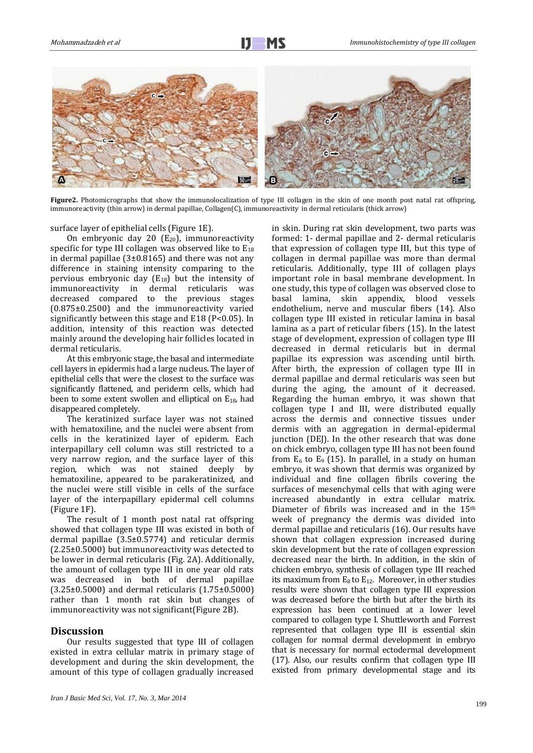

**Figure2.** Photomicrographs that show the immunolocalization of type III collagen in the skin of one month post natal rat offspring, immunoreactivity (thin arrow) in dermal papillae, Collagen(C), immunoreactivity in dermal reticularis (thick arrow)

surface layer of epithelial cells (Figure 1E).

On embryonic day 20  $(E_{20})$ , immunoreactivity specific for type III collagen was observed like to  $E_{18}$ in dermal papillae  $(3\pm 0.8165)$  and there was not any difference in staining intensity comparing to the pervious embryonic day  $(E_{18})$  but the intensity of immunoreactivity in dermal reticularis was immunoreactivity in dermal decreased compared to the previous stages (0.875±0.2500) and the immunoreactivity varied significantly between this stage and E18 (P<0.05). In addition, intensity of this reaction was detected mainly around the developing hair follicles located in dermal reticularis.

At this embryonic stage, the basal and intermediate cell layers in epidermis had a large nucleus. The layer of epithelial cells that were the closest to the surface was significantly flattened, and periderm cells, which had been to some extent swollen and elliptical on E18, had disappeared completely.

The keratinized surface layer was not stained with hematoxiline, and the nuclei were absent from cells in the keratinized layer of epiderm. Each interpapillary cell column was still restricted to a very narrow region, and the surface layer of this region, which was not stained deeply by hematoxiline, appeared to be parakeratinized, and the nuclei were still visible in cells of the surface layer of the interpapillary epidermal cell columns (Figure 1F).

The result of 1 month post natal rat offspring showed that collagen type III was existed in both of dermal papillae (3.5±0.5774) and reticular dermis (2.25±0.5000) but immunoreactivity was detected to be lower in dermal reticularis (Fig. 2A). Additionally, the amount of collagen type III in one year old rats was decreased in both of dermal papillae (3.25±0.5000) and dermal reticularis (1.75±0.5000) rather than 1 month rat skin but changes of immunoreactivity was not significant(Figure 2B).

## **Discussion**

Our results suggested that type III of collagen existed in extra cellular matrix in primary stage of development and during the skin development, the amount of this type of collagen gradually increased

in skin. During rat skin development, two parts was formed: 1- dermal papillae and 2- dermal reticularis that expression of collagen type III, but this type of collagen in dermal papillae was more than dermal reticularis. Additionally, type III of collagen plays important role in basal membrane development. In one study, this type of collagen was observed close to basal lamina, skin appendix, blood vessels endothelium, nerve and muscular fibers (14). Also collagen type III existed in reticular lamina in basal lamina as a part of reticular fibers (15). In the latest stage of development, expression of collagen type III decreased in dermal reticularis but in dermal papillae its expression was ascending until birth. After birth, the expression of collagen type III in dermal papillae and dermal reticularis was seen but during the aging, the amount of it decreased. Regarding the human embryo, it was shown that collagen type I and III, were distributed equally across the dermis and connective tissues under dermis with an aggregation in dermal-epidermal junction (DEJ). In the other research that was done on chick embryo, collagen type III has not been found from  $E_6$  to  $E_9$  (15). In parallel, in a study on human embryo, it was shown that dermis was organized by individual and fine collagen fibrils covering the surfaces of mesenchymal cells that with aging were increased abundantly in extra cellular matrix. Diameter of fibrils was increased and in the 15<sup>th</sup> week of pregnancy the dermis was divided into dermal papillae and reticularis (16). Our results have shown that collagen expression increased during skin development but the rate of collagen expression decreased near the birth. In addition, in the skin of chicken embryo, synthesis of collagen type III reached its maximum from  $E_8$  to  $E_{12}$ . Moreover, in other studies results were shown that collagen type III expression was decreased before the birth but after the birth its expression has been continued at a lower level compared to collagen type I. Shuttleworth and Forrest represented that collagen type III is essential skin collagen for normal dermal development in embryo that is necessary for normal ectodermal development (17). Also, our results confirm that collagen type III existed from primary developmental stage and its